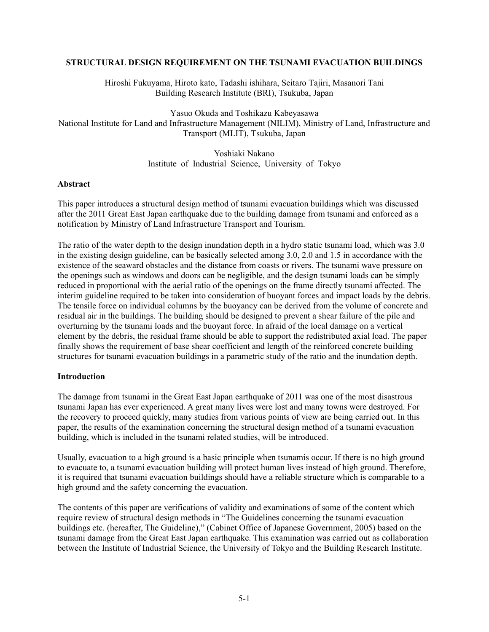#### **STRUCTURAL DESIGN REQUIREMENT ON THE TSUNAMI EVACUATION BUILDINGS**

Hiroshi Fukuyama, Hiroto kato, Tadashi ishihara, Seitaro Tajiri, Masanori Tani Building Research Institute (BRI), Tsukuba, Japan

Yasuo Okuda and Toshikazu Kabeyasawa National Institute for Land and Infrastructure Management (NILIM), Ministry of Land, Infrastructure and Transport (MLIT), Tsukuba, Japan

> Yoshiaki Nakano Institute of Industrial Science, University of Tokyo

### **Abstract**

This paper introduces a structural design method of tsunami evacuation buildings which was discussed after the 2011 Great East Japan earthquake due to the building damage from tsunami and enforced as a notification by Ministry of Land Infrastructure Transport and Tourism.

The ratio of the water depth to the design inundation depth in a hydro static tsunami load, which was 3.0 in the existing design guideline, can be basically selected among 3.0, 2.0 and 1.5 in accordance with the existence of the seaward obstacles and the distance from coasts or rivers. The tsunami wave pressure on the openings such as windows and doors can be negligible, and the design tsunami loads can be simply reduced in proportional with the aerial ratio of the openings on the frame directly tsunami affected. The interim guideline required to be taken into consideration of buoyant forces and impact loads by the debris. The tensile force on individual columns by the buoyancy can be derived from the volume of concrete and residual air in the buildings. The building should be designed to prevent a shear failure of the pile and overturning by the tsunami loads and the buoyant force. In afraid of the local damage on a vertical element by the debris, the residual frame should be able to support the redistributed axial load. The paper finally shows the requirement of base shear coefficient and length of the reinforced concrete building structures for tsunami evacuation buildings in a parametric study of the ratio and the inundation depth.

## **Introduction**

The damage from tsunami in the Great East Japan earthquake of 2011 was one of the most disastrous tsunami Japan has ever experienced. A great many lives were lost and many towns were destroyed. For the recovery to proceed quickly, many studies from various points of view are being carried out. In this paper, the results of the examination concerning the structural design method of a tsunami evacuation building, which is included in the tsunami related studies, will be introduced.

Usually, evacuation to a high ground is a basic principle when tsunamis occur. If there is no high ground to evacuate to, a tsunami evacuation building will protect human lives instead of high ground. Therefore, it is required that tsunami evacuation buildings should have a reliable structure which is comparable to a high ground and the safety concerning the evacuation.

The contents of this paper are verifications of validity and examinations of some of the content which require review of structural design methods in "The Guidelines concerning the tsunami evacuation buildings etc. (hereafter, The Guideline)," (Cabinet Office of Japanese Government, 2005) based on the tsunami damage from the Great East Japan earthquake. This examination was carried out as collaboration between the Institute of Industrial Science, the University of Tokyo and the Building Research Institute.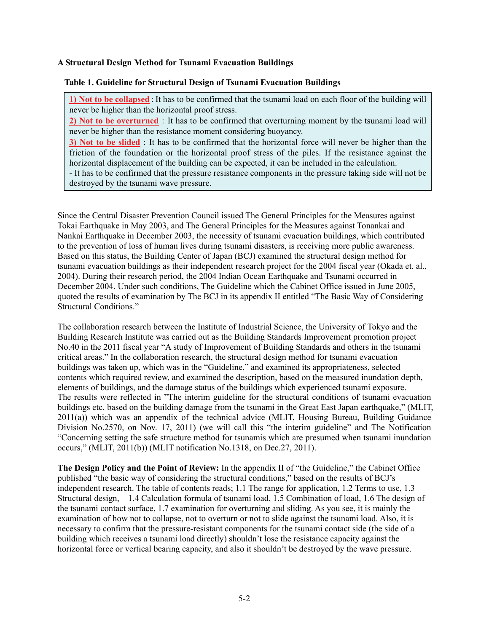## **A Structural Design Method for Tsunami Evacuation Buildings**

### **Table 1. Guideline for Structural Design of Tsunami Evacuation Buildings**

**1) Not to be collapsed**:It has to be confirmed that the tsunami load on each floor of the building will never be higher than the horizontal proof stress.

**2) Not to be overturned**:It has to be confirmed that overturning moment by the tsunami load will never be higher than the resistance moment considering buoyancy.

**3) Not to be slided**: It has to be confirmed that the horizontal force will never be higher than the friction of the foundation or the horizontal proof stress of the piles. If the resistance against the horizontal displacement of the building can be expected, it can be included in the calculation.

- It has to be confirmed that the pressure resistance components in the pressure taking side will not be destroyed by the tsunami wave pressure.

Since the Central Disaster Prevention Council issued The General Principles for the Measures against Tokai Earthquake in May 2003, and The General Principles for the Measures against Tonankai and Nankai Earthquake in December 2003, the necessity of tsunami evacuation buildings, which contributed to the prevention of loss of human lives during tsunami disasters, is receiving more public awareness. Based on this status, the Building Center of Japan (BCJ) examined the structural design method for tsunami evacuation buildings as their independent research project for the 2004 fiscal year (Okada et. al., 2004). During their research period, the 2004 Indian Ocean Earthquake and Tsunami occurred in December 2004. Under such conditions, The Guideline which the Cabinet Office issued in June 2005, quoted the results of examination by The BCJ in its appendix II entitled "The Basic Way of Considering Structural Conditions."

The collaboration research between the Institute of Industrial Science, the University of Tokyo and the Building Research Institute was carried out as the Building Standards Improvement promotion project No.40 in the 2011 fiscal year "A study of Improvement of Building Standards and others in the tsunami critical areas." In the collaboration research, the structural design method for tsunami evacuation buildings was taken up, which was in the "Guideline," and examined its appropriateness, selected contents which required review, and examined the description, based on the measured inundation depth, elements of buildings, and the damage status of the buildings which experienced tsunami exposure. The results were reflected in "The interim guideline for the structural conditions of tsunami evacuation buildings etc, based on the building damage from the tsunami in the Great East Japan earthquake," (MLIT, 2011(a)) which was an appendix of the technical advice (MLIT, Housing Bureau, Building Guidance Division No.2570, on Nov. 17, 2011) (we will call this "the interim guideline" and The Notification "Concerning setting the safe structure method for tsunamis which are presumed when tsunami inundation occurs," (MLIT, 2011(b)) (MLIT notification No.1318, on Dec.27, 2011).

**The Design Policy and the Point of Review:** In the appendix II of "the Guideline," the Cabinet Office published "the basic way of considering the structural conditions," based on the results of BCJ's independent research. The table of contents reads; 1.1 The range for application, 1.2 Terms to use, 1.3 Structural design, 1.4 Calculation formula of tsunami load, 1.5 Combination of load, 1.6 The design of the tsunami contact surface, 1.7 examination for overturning and sliding. As you see, it is mainly the examination of how not to collapse, not to overturn or not to slide against the tsunami load. Also, it is necessary to confirm that the pressure-resistant components for the tsunami contact side (the side of a building which receives a tsunami load directly) shouldn't lose the resistance capacity against the horizontal force or vertical bearing capacity, and also it shouldn't be destroyed by the wave pressure.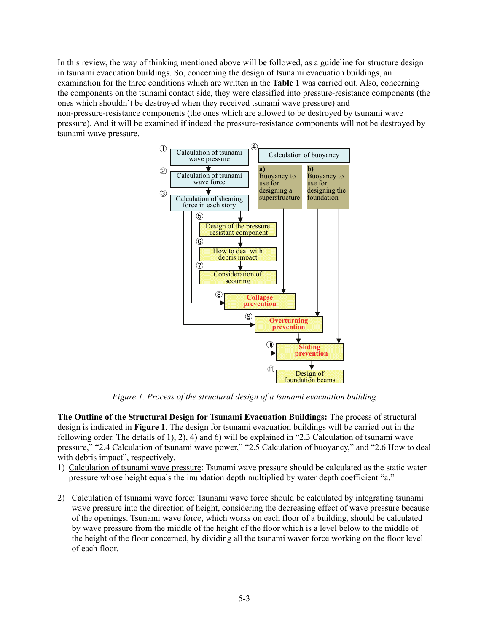In this review, the way of thinking mentioned above will be followed, as a guideline for structure design in tsunami evacuation buildings. So, concerning the design of tsunami evacuation buildings, an examination for the three conditions which are written in the **Table 1** was carried out. Also, concerning the components on the tsunami contact side, they were classified into pressure-resistance components (the ones which shouldn't be destroyed when they received tsunami wave pressure) and non-pressure-resistance components (the ones which are allowed to be destroyed by tsunami wave pressure). And it will be examined if indeed the pressure-resistance components will not be destroyed by tsunami wave pressure.



*Figure 1. Process of the structural design of a tsunami evacuation building* 

**The Outline of the Structural Design for Tsunami Evacuation Buildings:** The process of structural design is indicated in **Figure 1**. The design for tsunami evacuation buildings will be carried out in the following order. The details of 1), 2), 4) and 6) will be explained in "2.3 Calculation of tsunami wave pressure," "2.4 Calculation of tsunami wave power," "2.5 Calculation of buoyancy," and "2.6 How to deal with debris impact", respectively.

- 1) Calculation of tsunami wave pressure: Tsunami wave pressure should be calculated as the static water pressure whose height equals the inundation depth multiplied by water depth coefficient "a."
- 2) Calculation of tsunami wave force: Tsunami wave force should be calculated by integrating tsunami wave pressure into the direction of height, considering the decreasing effect of wave pressure because of the openings. Tsunami wave force, which works on each floor of a building, should be calculated by wave pressure from the middle of the height of the floor which is a level below to the middle of the height of the floor concerned, by dividing all the tsunami waver force working on the floor level of each floor.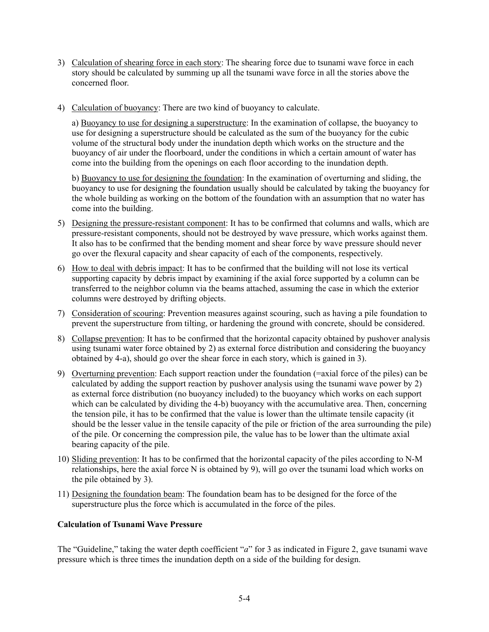- 3) Calculation of shearing force in each story: The shearing force due to tsunami wave force in each story should be calculated by summing up all the tsunami wave force in all the stories above the concerned floor.
- 4) Calculation of buoyancy: There are two kind of buoyancy to calculate.

a) Buoyancy to use for designing a superstructure: In the examination of collapse, the buoyancy to use for designing a superstructure should be calculated as the sum of the buoyancy for the cubic volume of the structural body under the inundation depth which works on the structure and the buoyancy of air under the floorboard, under the conditions in which a certain amount of water has come into the building from the openings on each floor according to the inundation depth.

b) Buoyancy to use for designing the foundation: In the examination of overturning and sliding, the buoyancy to use for designing the foundation usually should be calculated by taking the buoyancy for the whole building as working on the bottom of the foundation with an assumption that no water has come into the building.

- 5) Designing the pressure-resistant component: It has to be confirmed that columns and walls, which are pressure-resistant components, should not be destroyed by wave pressure, which works against them. It also has to be confirmed that the bending moment and shear force by wave pressure should never go over the flexural capacity and shear capacity of each of the components, respectively.
- 6) How to deal with debris impact: It has to be confirmed that the building will not lose its vertical supporting capacity by debris impact by examining if the axial force supported by a column can be transferred to the neighbor column via the beams attached, assuming the case in which the exterior columns were destroyed by drifting objects.
- 7) Consideration of scouring: Prevention measures against scouring, such as having a pile foundation to prevent the superstructure from tilting, or hardening the ground with concrete, should be considered.
- 8) Collapse prevention: It has to be confirmed that the horizontal capacity obtained by pushover analysis using tsunami water force obtained by 2) as external force distribution and considering the buoyancy obtained by 4-a), should go over the shear force in each story, which is gained in 3).
- 9) Overturning prevention: Each support reaction under the foundation (=axial force of the piles) can be calculated by adding the support reaction by pushover analysis using the tsunami wave power by 2) as external force distribution (no buoyancy included) to the buoyancy which works on each support which can be calculated by dividing the 4-b) buoyancy with the accumulative area. Then, concerning the tension pile, it has to be confirmed that the value is lower than the ultimate tensile capacity (it should be the lesser value in the tensile capacity of the pile or friction of the area surrounding the pile) of the pile. Or concerning the compression pile, the value has to be lower than the ultimate axial bearing capacity of the pile.
- 10) Sliding prevention: It has to be confirmed that the horizontal capacity of the piles according to N-M relationships, here the axial force N is obtained by 9), will go over the tsunami load which works on the pile obtained by 3).
- 11) Designing the foundation beam: The foundation beam has to be designed for the force of the superstructure plus the force which is accumulated in the force of the piles.

# **Calculation of Tsunami Wave Pressure**

The "Guideline," taking the water depth coefficient "*a*" for 3 as indicated in Figure 2, gave tsunami wave pressure which is three times the inundation depth on a side of the building for design.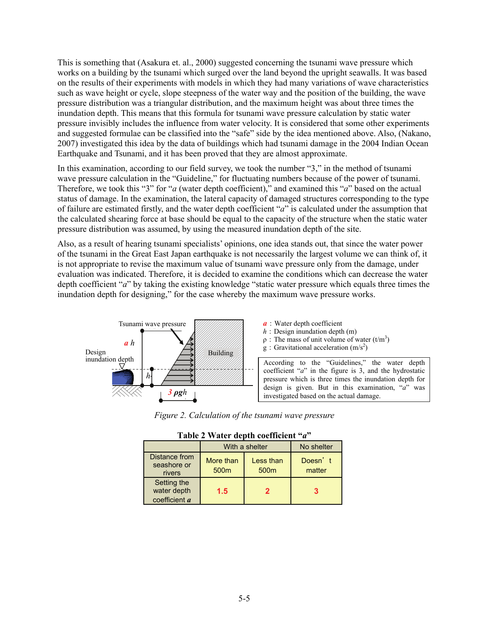This is something that (Asakura et. al., 2000) suggested concerning the tsunami wave pressure which works on a building by the tsunami which surged over the land beyond the upright seawalls. It was based on the results of their experiments with models in which they had many variations of wave characteristics such as wave height or cycle, slope steepness of the water way and the position of the building, the wave pressure distribution was a triangular distribution, and the maximum height was about three times the inundation depth. This means that this formula for tsunami wave pressure calculation by static water pressure invisibly includes the influence from water velocity. It is considered that some other experiments and suggested formulae can be classified into the "safe" side by the idea mentioned above. Also, (Nakano, 2007) investigated this idea by the data of buildings which had tsunami damage in the 2004 Indian Ocean Earthquake and Tsunami, and it has been proved that they are almost approximate.

In this examination, according to our field survey, we took the number "3," in the method of tsunami wave pressure calculation in the "Guideline," for fluctuating numbers because of the power of tsunami. Therefore, we took this "3" for "*a* (water depth coefficient)," and examined this "*a*" based on the actual status of damage. In the examination, the lateral capacity of damaged structures corresponding to the type of failure are estimated firstly, and the water depth coefficient "*a*" is calculated under the assumption that the calculated shearing force at base should be equal to the capacity of the structure when the static water pressure distribution was assumed, by using the measured inundation depth of the site.

Also, as a result of hearing tsunami specialists' opinions, one idea stands out, that since the water power of the tsunami in the Great East Japan earthquake is not necessarily the largest volume we can think of, it is not appropriate to revise the maximum value of tsunami wave pressure only from the damage, under evaluation was indicated. Therefore, it is decided to examine the conditions which can decrease the water depth coefficient "*a*" by taking the existing knowledge "static water pressure which equals three times the inundation depth for designing," for the case whereby the maximum wave pressure works.



*Figure 2. Calculation of the tsunami wave pressure*

| radic 2 waich uchth cochneicht              |                               |                               |                   |  |  |  |  |
|---------------------------------------------|-------------------------------|-------------------------------|-------------------|--|--|--|--|
|                                             | With a shelter                | No shelter                    |                   |  |  |  |  |
| Distance from<br>seashore or<br>rivers      | More than<br>500 <sub>m</sub> | Less than<br>500 <sub>m</sub> | Doesn't<br>matter |  |  |  |  |
| Setting the<br>water depth<br>coefficient a | 1.5                           | 2                             | 3                 |  |  |  |  |

|  |  |  | Table 2 Water depth coefficient "a" |  |
|--|--|--|-------------------------------------|--|
|--|--|--|-------------------------------------|--|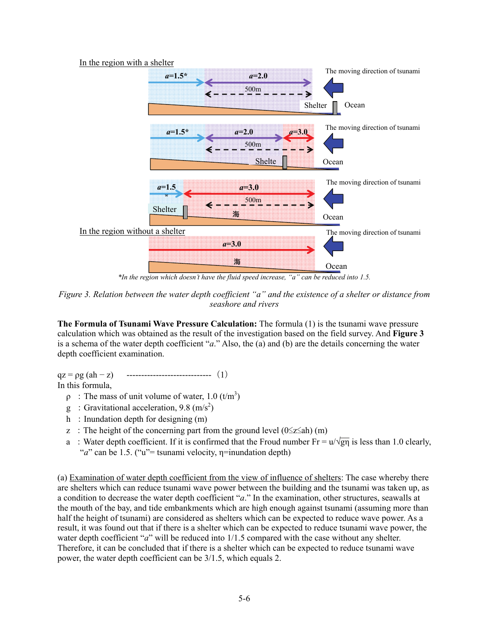### In the region with a shelter



*\*In the region which doesn't have the fluid speed increase, "a" can be reduced into 1.5.* 

**The Formula of Tsunami Wave Pressure Calculation:** The formula (1) is the tsunami wave pressure calculation which was obtained as the result of the investigation based on the field survey. And **Figure 3** is a schema of the water depth coefficient "*a*." Also, the (a) and (b) are the details concerning the water depth coefficient examination.

 $qz = \rho g (ah - z)$  ----------------------------------- (1)

In this formula,

- $\rho$ : The mass of unit volume of water, 1.0 (t/m<sup>3</sup>)
- g : Gravitational acceleration, 9.8  $(m/s<sup>2</sup>)$
- h : Inundation depth for designing  $(m)$
- z : The height of the concerning part from the ground level  $(0 \le z \le ah)$  (m)
- a : Water depth coefficient. If it is confirmed that the Froud number  $Fr = u/\sqrt{gn}$  is less than 1.0 clearly, "*a*" can be 1.5. ("u"= tsunami velocity, η=inundation depth)

(a) Examination of water depth coefficient from the view of influence of shelters: The case whereby there are shelters which can reduce tsunami wave power between the building and the tsunami was taken up, as a condition to decrease the water depth coefficient "*a*." In the examination, other structures, seawalls at the mouth of the bay, and tide embankments which are high enough against tsunami (assuming more than half the height of tsunami) are considered as shelters which can be expected to reduce wave power. As a result, it was found out that if there is a shelter which can be expected to reduce tsunami wave power, the water depth coefficient "*a*" will be reduced into 1/1.5 compared with the case without any shelter. Therefore, it can be concluded that if there is a shelter which can be expected to reduce tsunami wave power, the water depth coefficient can be 3/1.5, which equals 2.

*Figure 3. Relation between the water depth coefficient "a" and the existence of a shelter or distance from seashore and rivers*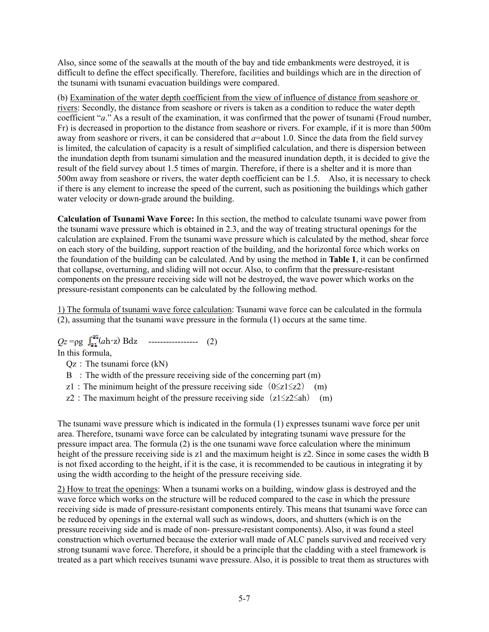Also, since some of the seawalls at the mouth of the bay and tide embankments were destroyed, it is difficult to define the effect specifically. Therefore, facilities and buildings which are in the direction of the tsunami with tsunami evacuation buildings were compared.

(b) Examination of the water depth coefficient from the view of influence of distance from seashore or rivers: Secondly, the distance from seashore or rivers is taken as a condition to reduce the water depth coefficient "*a*." As a result of the examination, it was confirmed that the power of tsunami (Froud number, Fr) is decreased in proportion to the distance from seashore or rivers. For example, if it is more than 500m away from seashore or rivers, it can be considered that *a*=about 1.0. Since the data from the field survey is limited, the calculation of capacity is a result of simplified calculation, and there is dispersion between the inundation depth from tsunami simulation and the measured inundation depth, it is decided to give the result of the field survey about 1.5 times of margin. Therefore, if there is a shelter and it is more than 500m away from seashore or rivers, the water depth coefficient can be 1.5. Also, it is necessary to check if there is any element to increase the speed of the current, such as positioning the buildings which gather water velocity or down-grade around the building.

**Calculation of Tsunami Wave Force:** In this section, the method to calculate tsunami wave power from the tsunami wave pressure which is obtained in 2.3, and the way of treating structural openings for the calculation are explained. From the tsunami wave pressure which is calculated by the method, shear force on each story of the building, support reaction of the building, and the horizontal force which works on the foundation of the building can be calculated. And by using the method in **Table 1**, it can be confirmed that collapse, overturning, and sliding will not occur. Also, to confirm that the pressure-resistant components on the pressure receiving side will not be destroyed, the wave power which works on the pressure-resistant components can be calculated by the following method.

1) The formula of tsunami wave force calculation: Tsunami wave force can be calculated in the formula (2), assuming that the tsunami wave pressure in the formula (1) occurs at the same time.

 $Qz = \rho g \int_{z_1}^{z_2} (ah-z) Bdz$  ----------------- (2)

In this formula,

 $Qz$ : The tsunami force  $(kN)$ 

- $B$ : The width of the pressure receiving side of the concerning part  $(m)$
- z1: The minimum height of the pressure receiving side  $(0\le z1\le z2)$  (m)
- z2: The maximum height of the pressure receiving side  $(z1\leq z2\leq ah)$  (m)

The tsunami wave pressure which is indicated in the formula (1) expresses tsunami wave force per unit area. Therefore, tsunami wave force can be calculated by integrating tsunami wave pressure for the pressure impact area. The formula (2) is the one tsunami wave force calculation where the minimum height of the pressure receiving side is z1 and the maximum height is z2. Since in some cases the width B is not fixed according to the height, if it is the case, it is recommended to be cautious in integrating it by using the width according to the height of the pressure receiving side.

2) How to treat the openings: When a tsunami works on a building, window glass is destroyed and the wave force which works on the structure will be reduced compared to the case in which the pressure receiving side is made of pressure-resistant components entirely. This means that tsunami wave force can be reduced by openings in the external wall such as windows, doors, and shutters (which is on the pressure receiving side and is made of non- pressure-resistant components). Also, it was found a steel construction which overturned because the exterior wall made of ALC panels survived and received very strong tsunami wave force. Therefore, it should be a principle that the cladding with a steel framework is treated as a part which receives tsunami wave pressure. Also, it is possible to treat them as structures with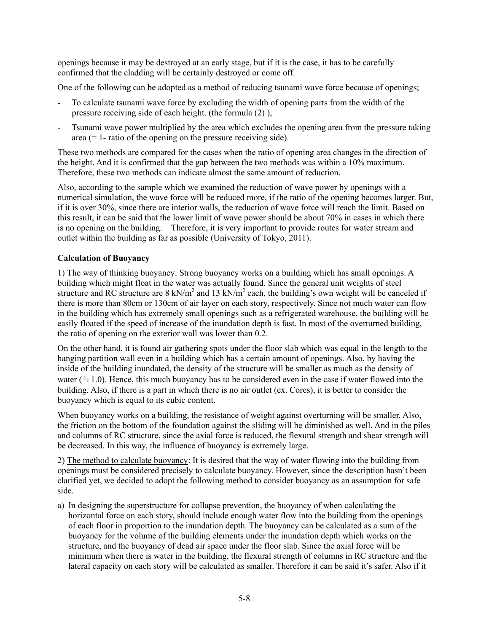openings because it may be destroyed at an early stage, but if it is the case, it has to be carefully confirmed that the cladding will be certainly destroyed or come off.

One of the following can be adopted as a method of reducing tsunami wave force because of openings;

- To calculate tsunami wave force by excluding the width of opening parts from the width of the pressure receiving side of each height. (the formula (2) ),
- Tsunami wave power multiplied by the area which excludes the opening area from the pressure taking area  $(= 1 -$  ratio of the opening on the pressure receiving side).

These two methods are compared for the cases when the ratio of opening area changes in the direction of the height. And it is confirmed that the gap between the two methods was within a 10% maximum. Therefore, these two methods can indicate almost the same amount of reduction.

Also, according to the sample which we examined the reduction of wave power by openings with a numerical simulation, the wave force will be reduced more, if the ratio of the opening becomes larger. But, if it is over 30%, since there are interior walls, the reduction of wave force will reach the limit. Based on this result, it can be said that the lower limit of wave power should be about 70% in cases in which there is no opening on the building. Therefore, it is very important to provide routes for water stream and outlet within the building as far as possible (University of Tokyo, 2011).

# **Calculation of Buoyancy**

1) The way of thinking buoyancy: Strong buoyancy works on a building which has small openings. A building which might float in the water was actually found. Since the general unit weights of steel structure and RC structure are 8 kN/m<sup>2</sup> and 13 kN/m<sup>2</sup> each, the building's own weight will be canceled if there is more than 80cm or 130cm of air layer on each story, respectively. Since not much water can flow in the building which has extremely small openings such as a refrigerated warehouse, the building will be easily floated if the speed of increase of the inundation depth is fast. In most of the overturned building, the ratio of opening on the exterior wall was lower than 0.2.

On the other hand, it is found air gathering spots under the floor slab which was equal in the length to the hanging partition wall even in a building which has a certain amount of openings. Also, by having the inside of the building inundated, the density of the structure will be smaller as much as the density of water ( $\approx$  1.0). Hence, this much buoyancy has to be considered even in the case if water flowed into the building. Also, if there is a part in which there is no air outlet (ex. Cores), it is better to consider the buoyancy which is equal to its cubic content.

When buoyancy works on a building, the resistance of weight against overturning will be smaller. Also, the friction on the bottom of the foundation against the sliding will be diminished as well. And in the piles and columns of RC structure, since the axial force is reduced, the flexural strength and shear strength will be decreased. In this way, the influence of buoyancy is extremely large.

2) The method to calculate buoyancy: It is desired that the way of water flowing into the building from openings must be considered precisely to calculate buoyancy. However, since the description hasn't been clarified yet, we decided to adopt the following method to consider buoyancy as an assumption for safe side.

a) In designing the superstructure for collapse prevention, the buoyancy of when calculating the horizontal force on each story, should include enough water flow into the building from the openings of each floor in proportion to the inundation depth. The buoyancy can be calculated as a sum of the buoyancy for the volume of the building elements under the inundation depth which works on the structure, and the buoyancy of dead air space under the floor slab. Since the axial force will be minimum when there is water in the building, the flexural strength of columns in RC structure and the lateral capacity on each story will be calculated as smaller. Therefore it can be said it's safer. Also if it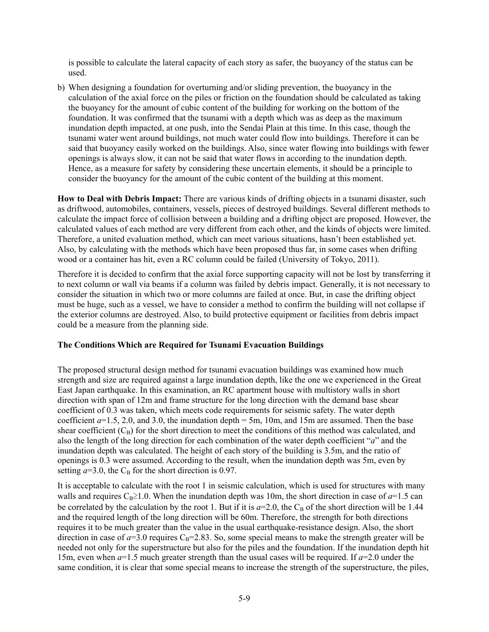is possible to calculate the lateral capacity of each story as safer, the buoyancy of the status can be used.

b) When designing a foundation for overturning and/or sliding prevention, the buoyancy in the calculation of the axial force on the piles or friction on the foundation should be calculated as taking the buoyancy for the amount of cubic content of the building for working on the bottom of the foundation. It was confirmed that the tsunami with a depth which was as deep as the maximum inundation depth impacted, at one push, into the Sendai Plain at this time. In this case, though the tsunami water went around buildings, not much water could flow into buildings. Therefore it can be said that buoyancy easily worked on the buildings. Also, since water flowing into buildings with fewer openings is always slow, it can not be said that water flows in according to the inundation depth. Hence, as a measure for safety by considering these uncertain elements, it should be a principle to consider the buoyancy for the amount of the cubic content of the building at this moment.

**How to Deal with Debris Impact:** There are various kinds of drifting objects in a tsunami disaster, such as driftwood, automobiles, containers, vessels, pieces of destroyed buildings. Several different methods to calculate the impact force of collision between a building and a drifting object are proposed. However, the calculated values of each method are very different from each other, and the kinds of objects were limited. Therefore, a united evaluation method, which can meet various situations, hasn't been established yet. Also, by calculating with the methods which have been proposed thus far, in some cases when drifting wood or a container has hit, even a RC column could be failed (University of Tokyo, 2011).

Therefore it is decided to confirm that the axial force supporting capacity will not be lost by transferring it to next column or wall via beams if a column was failed by debris impact. Generally, it is not necessary to consider the situation in which two or more columns are failed at once. But, in case the drifting object must be huge, such as a vessel, we have to consider a method to confirm the building will not collapse if the exterior columns are destroyed. Also, to build protective equipment or facilities from debris impact could be a measure from the planning side.

## **The Conditions Which are Required for Tsunami Evacuation Buildings**

The proposed structural design method for tsunami evacuation buildings was examined how much strength and size are required against a large inundation depth, like the one we experienced in the Great East Japan earthquake. In this examination, an RC apartment house with multistory walls in short direction with span of 12m and frame structure for the long direction with the demand base shear coefficient of 0.3 was taken, which meets code requirements for seismic safety. The water depth coefficient  $a=1.5, 2.0$ , and 3.0, the inundation depth = 5m, 10m, and 15m are assumed. Then the base shear coefficient  $(C_B)$  for the short direction to meet the conditions of this method was calculated, and also the length of the long direction for each combination of the water depth coefficient "*a*" and the inundation depth was calculated. The height of each story of the building is 3.5m, and the ratio of openings is 0.3 were assumed. According to the result, when the inundation depth was 5m, even by setting  $a=3.0$ , the C<sub>B</sub> for the short direction is 0.97.

It is acceptable to calculate with the root 1 in seismic calculation, which is used for structures with many walls and requires C<sub>B</sub>≥1.0. When the inundation depth was 10m, the short direction in case of  $a=1.5$  can be correlated by the calculation by the root 1. But if it is  $a=2.0$ , the C<sub>B</sub> of the short direction will be 1.44 and the required length of the long direction will be 60m. Therefore, the strength for both directions requires it to be much greater than the value in the usual earthquake-resistance design. Also, the short direction in case of  $a=3.0$  requires  $C_B=2.83$ . So, some special means to make the strength greater will be needed not only for the superstructure but also for the piles and the foundation. If the inundation depth hit 15m, even when *a*=1.5 much greater strength than the usual cases will be required. If *a*=2.0 under the same condition, it is clear that some special means to increase the strength of the superstructure, the piles,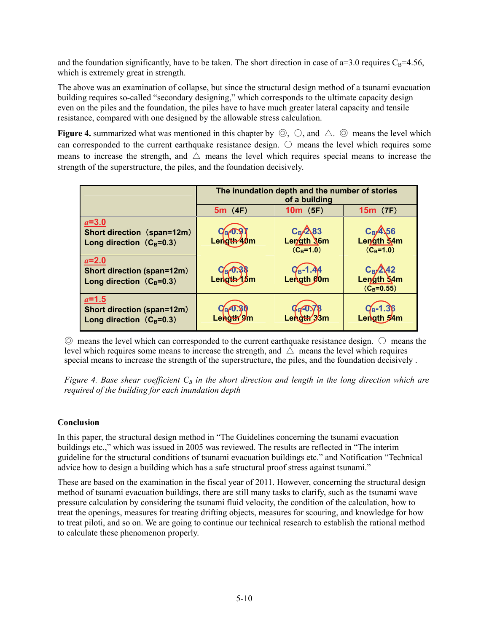and the foundation significantly, have to be taken. The short direction in case of  $a=3.0$  requires  $C_B=4.56$ , which is extremely great in strength.

The above was an examination of collapse, but since the structural design method of a tsunami evacuation building requires so-called "secondary designing," which corresponds to the ultimate capacity design even on the piles and the foundation, the piles have to have much greater lateral capacity and tensile resistance, compared with one designed by the allowable stress calculation.

**Figure 4.** summarized what was mentioned in this chapter by  $\circled{O}$ ,  $\circlearrow{O}$ , and  $\wedge$ .  $\circled{O}$  means the level which can corresponded to the current earthquake resistance design.  $\bigcirc$  means the level which requires some means to increase the strength, and  $\triangle$  means the level which requires special means to increase the strength of the superstructure, the piles, and the foundation decisively.

|                                                                            | The inundation depth and the number of stories<br>of a building |                                          |                                                    |  |  |
|----------------------------------------------------------------------------|-----------------------------------------------------------------|------------------------------------------|----------------------------------------------------|--|--|
|                                                                            | 5m(4F)                                                          | $10m$ (5F)                               | $15m$ (7F)                                         |  |  |
| $a=3.0$<br>Short direction (span=12m)<br>Long direction $(C_B=0.3)$        | Length 40m                                                      | $C_{B}/283$<br>Length 36m<br>$(C_B=1.0)$ | $C_B$ <sup>4</sup> 56<br>Length 34m<br>$(C_B=1.0)$ |  |  |
| $a=2.0$<br>Short direction (span=12m)<br>Long direction $(C_B=0.3)$        | Length 15m                                                      | $q_{B} - 1.44$<br>Length gom             | $C_{\rm B}/242$<br>Length 54m<br>$(C_B=0.55)$      |  |  |
| $a=1.5$<br><b>Short direction (span=12m)</b><br>Long direction $(C_B=0.3)$ |                                                                 |                                          | $C_{B} - 1.36$<br>Length 54m                       |  |  |

 $\odot$  means the level which can corresponded to the current earthquake resistance design.  $\odot$  means the level which requires some means to increase the strength, and  $\Delta$  means the level which requires special means to increase the strength of the superstructure, the piles, and the foundation decisively .

*Figure 4. Base shear coefficient*  $C_B$  *in the short direction and length in the long direction which are required of the building for each inundation depth*

# **Conclusion**

In this paper, the structural design method in "The Guidelines concerning the tsunami evacuation buildings etc.," which was issued in 2005 was reviewed. The results are reflected in "The interim guideline for the structural conditions of tsunami evacuation buildings etc." and Notification "Technical advice how to design a building which has a safe structural proof stress against tsunami."

These are based on the examination in the fiscal year of 2011. However, concerning the structural design method of tsunami evacuation buildings, there are still many tasks to clarify, such as the tsunami wave pressure calculation by considering the tsunami fluid velocity, the condition of the calculation, how to treat the openings, measures for treating drifting objects, measures for scouring, and knowledge for how to treat piloti, and so on. We are going to continue our technical research to establish the rational method to calculate these phenomenon properly.